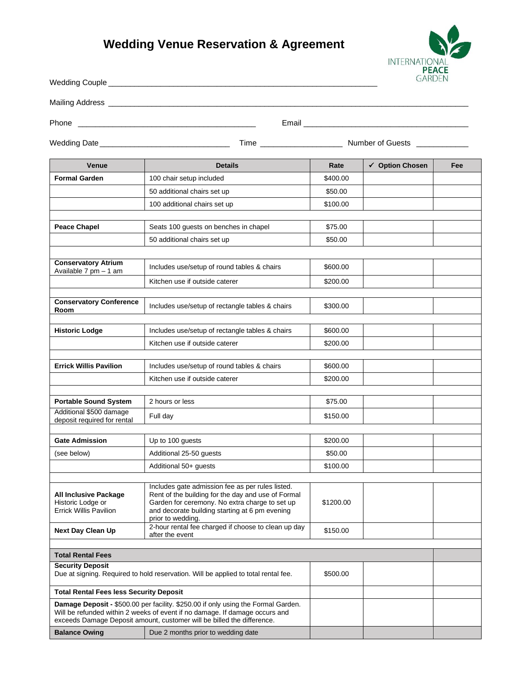## **Wedding Venue Reservation & Agreement**



| Wedding Couple                                                                     |                                                                                                                                                                                                                                            |                                                             | UANDLIN         |     |
|------------------------------------------------------------------------------------|--------------------------------------------------------------------------------------------------------------------------------------------------------------------------------------------------------------------------------------------|-------------------------------------------------------------|-----------------|-----|
| Mailing Address _                                                                  | <u> 1989 - Johann John Stein, markin fan it ferstjer fan it ferstjer fan it ferstjer fan it ferstjer fan it fers</u>                                                                                                                       |                                                             |                 |     |
| Phone                                                                              | Email                                                                                                                                                                                                                                      |                                                             |                 |     |
|                                                                                    |                                                                                                                                                                                                                                            | Time ____________________________ Number of Guests ________ |                 |     |
| Venue                                                                              | <b>Details</b>                                                                                                                                                                                                                             | Rate                                                        | ✔ Option Chosen | Fee |
| <b>Formal Garden</b>                                                               | 100 chair setup included                                                                                                                                                                                                                   | \$400.00                                                    |                 |     |
|                                                                                    | 50 additional chairs set up                                                                                                                                                                                                                | \$50.00                                                     |                 |     |
|                                                                                    | 100 additional chairs set up                                                                                                                                                                                                               | \$100.00                                                    |                 |     |
| <b>Peace Chapel</b>                                                                | Seats 100 guests on benches in chapel                                                                                                                                                                                                      | \$75.00                                                     |                 |     |
|                                                                                    | 50 additional chairs set up                                                                                                                                                                                                                | \$50.00                                                     |                 |     |
|                                                                                    |                                                                                                                                                                                                                                            |                                                             |                 |     |
| <b>Conservatory Atrium</b><br>Available 7 pm - 1 am                                | Includes use/setup of round tables & chairs                                                                                                                                                                                                | \$600.00                                                    |                 |     |
|                                                                                    | Kitchen use if outside caterer                                                                                                                                                                                                             | \$200.00                                                    |                 |     |
| <b>Conservatory Conference</b><br>Room                                             | Includes use/setup of rectangle tables & chairs                                                                                                                                                                                            | \$300.00                                                    |                 |     |
| <b>Historic Lodge</b>                                                              | Includes use/setup of rectangle tables & chairs                                                                                                                                                                                            | \$600.00                                                    |                 |     |
|                                                                                    | Kitchen use if outside caterer                                                                                                                                                                                                             | \$200.00                                                    |                 |     |
|                                                                                    |                                                                                                                                                                                                                                            |                                                             |                 |     |
| <b>Errick Willis Pavilion</b>                                                      | Includes use/setup of round tables & chairs                                                                                                                                                                                                | \$600.00                                                    |                 |     |
|                                                                                    | Kitchen use if outside caterer                                                                                                                                                                                                             | \$200.00                                                    |                 |     |
| <b>Portable Sound System</b>                                                       | 2 hours or less                                                                                                                                                                                                                            | \$75.00                                                     |                 |     |
| Additional \$500 damage                                                            | Full day                                                                                                                                                                                                                                   | \$150.00                                                    |                 |     |
| deposit required for rental                                                        |                                                                                                                                                                                                                                            |                                                             |                 |     |
| <b>Gate Admission</b>                                                              | Up to 100 guests                                                                                                                                                                                                                           | \$200.00                                                    |                 |     |
| (see below)                                                                        | Additional 25-50 guests                                                                                                                                                                                                                    | \$50.00                                                     |                 |     |
|                                                                                    | Additional 50+ guests                                                                                                                                                                                                                      | \$100.00                                                    |                 |     |
| <b>All Inclusive Package</b><br>Historic Lodge or<br><b>Errick Willis Pavilion</b> | Includes gate admission fee as per rules listed.<br>Rent of the building for the day and use of Formal<br>Garden for ceremony. No extra charge to set up<br>and decorate building starting at 6 pm evening<br>prior to wedding.            | \$1200.00                                                   |                 |     |
| <b>Next Day Clean Up</b>                                                           | 2-hour rental fee charged if choose to clean up day<br>after the event                                                                                                                                                                     | \$150.00                                                    |                 |     |
|                                                                                    |                                                                                                                                                                                                                                            |                                                             |                 |     |
| <b>Total Rental Fees</b><br><b>Security Deposit</b>                                |                                                                                                                                                                                                                                            |                                                             |                 |     |
| Due at signing. Required to hold reservation. Will be applied to total rental fee. |                                                                                                                                                                                                                                            | \$500.00                                                    |                 |     |
| <b>Total Rental Fees less Security Deposit</b>                                     |                                                                                                                                                                                                                                            |                                                             |                 |     |
|                                                                                    | Damage Deposit - \$500.00 per facility. \$250.00 if only using the Formal Garden.<br>Will be refunded within 2 weeks of event if no damage. If damage occurs and<br>exceeds Damage Deposit amount, customer will be billed the difference. |                                                             |                 |     |
| <b>Balance Owing</b>                                                               | Due 2 months prior to wedding date                                                                                                                                                                                                         |                                                             |                 |     |